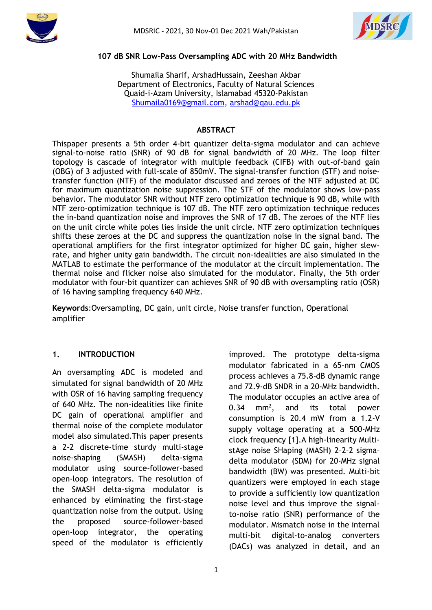



#### **107 dB SNR Low-Pass Oversampling ADC with 20 MHz Bandwidth**

Shumaila Sharif, ArshadHussain, Zeeshan Akbar Department of Electronics, Faculty of Natural Sciences Quaid-i-Azam University, Islamabad 45320-Pakistan [Shumaila0169@gmail.com,](mailto:Shumaila0169@gmail.com) [arshad@qau.edu.pk](mailto:arshad@qau.edu.pk)

#### **ABSTRACT**

Thispaper presents a 5th order 4-bit quantizer delta-sigma modulator and can achieve signal-to-noise ratio (SNR) of 90 dB for signal bandwidth of 20 MHz. The loop filter topology is cascade of integrator with multiple feedback (CIFB) with out-of-band gain (OBG) of 3 adjusted with full-scale of 850mV. The signal-transfer function (STF) and noisetransfer function (NTF) of the modulator discussed and zeroes of the NTF adjusted at DC for maximum quantization noise suppression. The STF of the modulator shows low-pass behavior. The modulator SNR without NTF zero optimization technique is 90 dB, while with NTF zero-optimization technique is 107 dB. The NTF zero optimization technique reduces the in-band quantization noise and improves the SNR of 17 dB. The zeroes of the NTF lies on the unit circle while poles lies inside the unit circle. NTF zero optimization techniques shifts these zeroes at the DC and suppress the quantization noise in the signal band. The operational amplifiers for the first integrator optimized for higher DC gain, higher slewrate, and higher unity gain bandwidth. The circuit non-idealities are also simulated in the MATLAB to estimate the performance of the modulator at the circuit implementation. The thermal noise and flicker noise also simulated for the modulator. Finally, the 5th order modulator with four-bit quantizer can achieves SNR of 90 dB with oversampling ratio (OSR) of 16 having sampling frequency 640 MHz.

**Keywords**:Oversampling, DC gain, unit circle, Noise transfer function, Operational amplifier

### **1. INTRODUCTION**

An oversampling ADC is modeled and simulated for signal bandwidth of 20 MHz with OSR of 16 having sampling frequency of 640 MHz. The non-idealities like finite DC gain of operational amplifier and thermal noise of the complete modulator model also simulated.This paper presents a 2-2 discrete-time sturdy multi-stage noise-shaping (SMASH) delta-sigma modulator using source-follower-based open-loop integrators. The resolution of the SMASH delta-sigma modulator is enhanced by eliminating the first-stage quantization noise from the output. Using the proposed source-follower-based open-loop integrator, the operating speed of the modulator is efficiently improved. The prototype delta-sigma modulator fabricated in a 65-nm CMOS process achieves a 75.8-dB dynamic range and 72.9-dB SNDR in a 20-MHz bandwidth. The modulator occupies an active area of  $0.34$  mm<sup>2</sup>, , and its total power consumption is 20.4 mW from a 1.2-V supply voltage operating at a 500-MHz clock frequency [1].A high-linearity MultistAge noise SHaping (MASH) 2–2–2 sigma– delta modulator (SDM) for 20-MHz signal bandwidth (BW) was presented. Multi-bit quantizers were employed in each stage to provide a sufficiently low quantization noise level and thus improve the signalto-noise ratio (SNR) performance of the modulator. Mismatch noise in the internal multi-bit digital-to-analog converters (DACs) was analyzed in detail, and an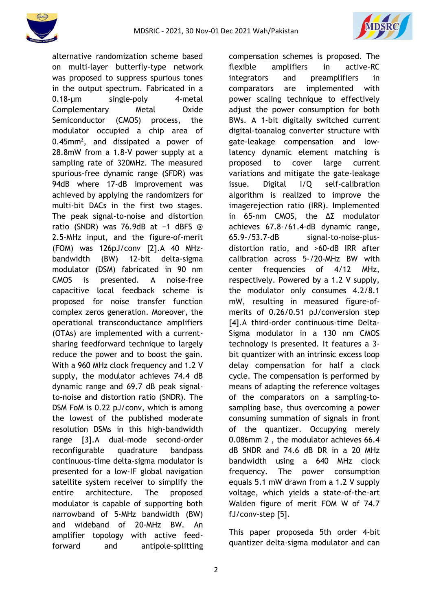



alternative randomization scheme based on multi-layer butterfly-type network was proposed to suppress spurious tones in the output spectrum. Fabricated in a 0.18-μm single–poly 4-metal Complementary Metal Oxide Semiconductor (CMOS) process, the modulator occupied a chip area of  $0.45$ mm<sup>2</sup>, and dissipated a power of 28.8mW from a 1.8-V power supply at a sampling rate of 320MHz. The measured spurious-free dynamic range (SFDR) was 94dB where 17-dB improvement was achieved by applying the randomizers for multi-bit DACs in the first two stages. The peak signal-to-noise and distortion ratio (SNDR) was 76.9dB at −1 dBFS @ 2.5-MHz input, and the figure-of-merit (FOM) was 126pJ/conv [2].A 40 MHzbandwidth (BW) 12-bit delta-sigma modulator (DSM) fabricated in 90 nm CMOS is presented. A noise-free capacitive local feedback scheme is proposed for noise transfer function complex zeros generation. Moreover, the operational transconductance amplifiers (OTAs) are implemented with a currentsharing feedforward technique to largely reduce the power and to boost the gain. With a 960 MHz clock frequency and 1.2 V supply, the modulator achieves 74.4 dB dynamic range and 69.7 dB peak signalto-noise and distortion ratio (SNDR). The DSM FoM is 0.22 pJ/conv, which is among the lowest of the published moderate resolution DSMs in this high-bandwidth range [3].A dual-mode second-order reconfigurable quadrature bandpass continuous-time delta-sigma modulator is presented for a low-IF global navigation satellite system receiver to simplify the entire architecture. The proposed modulator is capable of supporting both narrowband of 5-MHz bandwidth (BW) and wideband of 20-MHz BW. An amplifier topology with active feedforward and antipole-splitting compensation schemes is proposed. The flexible amplifiers in active-RC integrators and preamplifiers in comparators are implemented with power scaling technique to effectively adjust the power consumption for both BWs. A 1-bit digitally switched current digital-toanalog converter structure with gate-leakage compensation and lowlatency dynamic element matching is proposed to cover large current variations and mitigate the gate-leakage issue. Digital I/Q self-calibration algorithm is realized to improve the imagerejection ratio (IRR). Implemented in 65-nm CMOS, the ΔΣ modulator achieves 67.8-/61.4-dB dynamic range, 65.9-/53.7-dB signal-to-noise-plusdistortion ratio, and >60-dB IRR after calibration across 5-/20-MHz BW with center frequencies of 4/12 MHz, respectively. Powered by a 1.2 V supply, the modulator only consumes 4.2/8.1 mW, resulting in measured figure-ofmerits of 0.26/0.51 pJ/conversion step [4].A third-order continuous-time Delta-Sigma modulator in a 130 nm CMOS technology is presented. It features a 3 bit quantizer with an intrinsic excess loop delay compensation for half a clock cycle. The compensation is performed by means of adapting the reference voltages of the comparators on a sampling-tosampling base, thus overcoming a power consuming summation of signals in front of the quantizer. Occupying merely 0.086mm 2 , the modulator achieves 66.4 dB SNDR and 74.6 dB DR in a 20 MHz bandwidth using a 640 MHz clock frequency. The power consumption equals 5.1 mW drawn from a 1.2 V supply voltage, which yields a state-of-the-art Walden figure of merit FOM W of 74.7 fJ/conv-step [5].

This paper proposeda 5th order 4-bit quantizer delta-sigma modulator and can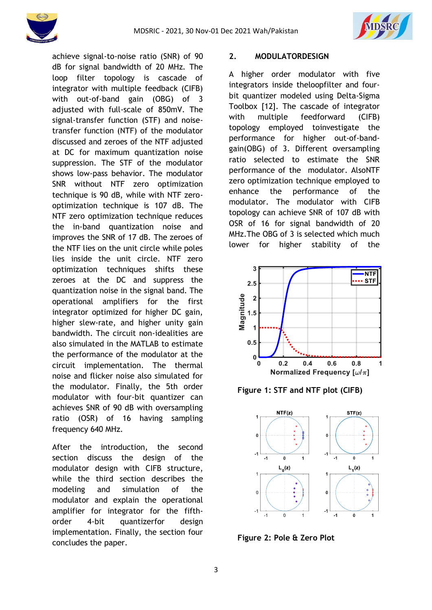



achieve signal-to-noise ratio (SNR) of 90 dB for signal bandwidth of 20 MHz. The loop filter topology is cascade of integrator with multiple feedback (CIFB) with out-of-band gain (OBG) of 3 adjusted with full-scale of 850mV. The signal-transfer function (STF) and noisetransfer function (NTF) of the modulator discussed and zeroes of the NTF adjusted at DC for maximum quantization noise suppression. The STF of the modulator shows low-pass behavior. The modulator SNR without NTF zero optimization technique is 90 dB, while with NTF zerooptimization technique is 107 dB. The NTF zero optimization technique reduces the in-band quantization noise and improves the SNR of 17 dB. The zeroes of the NTF lies on the unit circle while poles lies inside the unit circle. NTF zero optimization techniques shifts these zeroes at the DC and suppress the quantization noise in the signal band. The operational amplifiers for the first integrator optimized for higher DC gain, higher slew-rate, and higher unity gain bandwidth. The circuit non-idealities are also simulated in the MATLAB to estimate the performance of the modulator at the circuit implementation. The thermal noise and flicker noise also simulated for the modulator. Finally, the 5th order modulator with four-bit quantizer can achieves SNR of 90 dB with oversampling ratio (OSR) of 16 having sampling frequency 640 MHz.

After the introduction, the second section discuss the design of the modulator design with CIFB structure, while the third section describes the modeling and simulation of the modulator and explain the operational amplifier for integrator for the fifthorder 4-bit quantizerfor design implementation. Finally, the section four concludes the paper.

## **2. MODULATORDESIGN**

A higher order modulator with five integrators inside theloopfilter and fourbit quantizer modeled using Delta-Sigma Toolbox [12]. The cascade of integrator with multiple feedforward (CIFB) topology employed toinvestigate the performance for higher out-of-bandgain(OBG) of 3. Different oversampling ratio selected to estimate the SNR performance of the modulator. AlsoNTF zero optimization technique employed to enhance the performance of the modulator. The modulator with CIFB topology can achieve SNR of 107 dB with OSR of 16 for signal bandwidth of 20 MHz.The OBG of 3 is selected which much lower for higher stability of the



**Figure 1: STF and NTF plot (CIFB)**



**Figure 2: Pole & Zero Plot**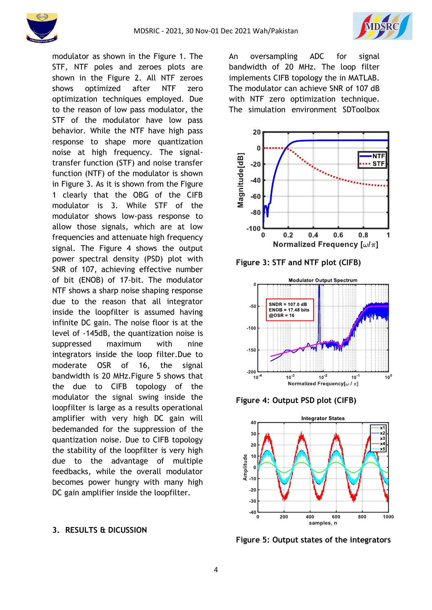



modulator as shown in the Figure 1. The STF, NTF poles and zeroes plots are shown in the Figure 2. All NTF zeroes shows optimized after NTF zero optimization techniques employed. Due to the reason of low pass modulator, the STF of the modulator have low pass behavior. While the NTF have high pass response to shape more quantization noise at high frequency. The signaltransfer function (STF) and noise transfer function (NTF) of the modulator is shown in Figure 3. As it is shown from the Figure 1 clearly that the OBG of the CIFB modulator is 3. While STF of the modulator shows low-pass response to allow those signals, which are at low frequencies and attenuate high frequency signal. The Figure 4 shows the output power spectral density (PSD) plot with SNR of 107, achieving effective number of bit (ENOB) of 17-bit. The modulator NTF shows a sharp noise shaping response due to the reason that all integrator inside the loopfilter is assumed having infinite DC gain. The noise floor is at the level of -145dB, the quantization noise is suppressed maximum with nine integrators inside the loop filter.Due to moderate OSR of 16, the signal bandwidth is 20 MHz.Figure 5 shows that the due to CIFB topology of the modulator the signal swing inside the loopfilter is large as a results operational amplifier with very high DC gain will bedemanded for the suppression of the quantization noise. Due to CIFB topology the stability of the loopfilter is very high due to the advantage of multiple feedbacks, while the overall modulator becomes power hungry with many high DC gain amplifier inside the loopfilter.

#### **3. RESULTS & DICUSSION**

An oversampling ADC for signal bandwidth of 20 MHz. The loop filter implements CIFB topology the in MATLAB. The modulator can achieve SNR of 107 dB with NTF zero optimization technique. The simulation environment SDToolbox



**Figure 3: STF and NTF plot (CIFB)**



**Figure 4: Output PSD plot (CIFB)**



**Figure 5: Output states of the integrators**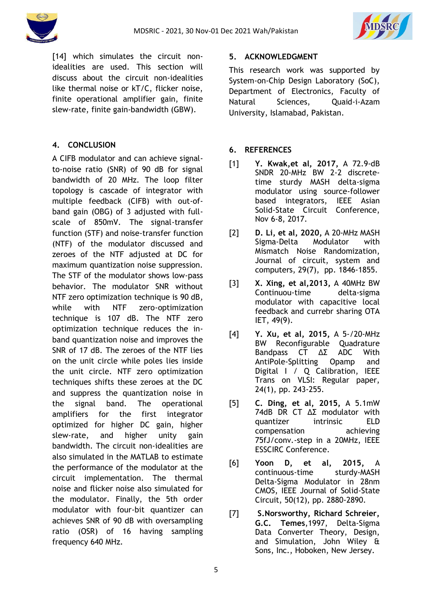



[14] which simulates the circuit nonidealities are used. This section will discuss about the circuit non-idealities like thermal noise or kT/C, flicker noise, finite operational amplifier gain, finite slew-rate, finite gain-bandwidth (GBW).

# **4. CONCLUSION**

A CIFB modulator and can achieve signalto-noise ratio (SNR) of 90 dB for signal bandwidth of 20 MHz. The loop filter topology is cascade of integrator with multiple feedback (CIFB) with out-ofband gain (OBG) of 3 adjusted with fullscale of 850mV. The signal-transfer function (STF) and noise-transfer function (NTF) of the modulator discussed and zeroes of the NTF adjusted at DC for maximum quantization noise suppression. The STF of the modulator shows low-pass behavior. The modulator SNR without NTF zero optimization technique is 90 dB, while with NTF zero-optimization technique is 107 dB. The NTF zero optimization technique reduces the inband quantization noise and improves the SNR of 17 dB. The zeroes of the NTF lies on the unit circle while poles lies inside the unit circle. NTF zero optimization techniques shifts these zeroes at the DC and suppress the quantization noise in the signal band. The operational amplifiers for the first integrator optimized for higher DC gain, higher slew-rate, and higher unity gain bandwidth. The circuit non-idealities are also simulated in the MATLAB to estimate the performance of the modulator at the circuit implementation. The thermal noise and flicker noise also simulated for the modulator. Finally, the 5th order modulator with four-bit quantizer can achieves SNR of 90 dB with oversampling ratio (OSR) of 16 having sampling frequency 640 MHz.

## **5. ACKNOWLEDGMENT**

This research work was supported by System-on-Chip Design Laboratory (SoC), Department of Electronics, Faculty of Natural Sciences, Quaid-i-Azam University, Islamabad, Pakistan.

## **6. REFERENCES**

- [1] **Y. Kwak,et al, 2017,** A 72.9-dB SNDR 20-MHz BW 2-2 discretetime sturdy MASH delta-sigma modulator using source-follower based integrators, IEEE Asian Solid-State Circuit Conference, Nov 6-8, 2017.
- [2] **D. Li, et al, 2020,** A 20-MHz MASH Sigma-Delta Modulator with Mismatch Noise Randomization, Journal of circuit, system and computers, 29(7), pp. 1846-1855.
- [3] **X. Xing, et al,2013,** A 40MHz BW Continuou-time delta-sigma modulator with capacitive local feedback and currebr sharing OTA IET, 49(9).
- [4] **Y. Xu, et al, 2015,** A 5-/20-MHz BW Reconfigurable Quadrature Bandpass CT ΔΣ ADC With AntiPole-Splitting Opamp and Digital I / Q Calibration, IEEE Trans on VLSI: Regular paper, 24(1), pp. 243-255.
- [5] **C. Ding, et al, 2015,** A 5.1mW 74dB DR CT ΔΣ modulator with quantizer intrinsic ELD compensation achieving 75fJ/conv.-step in a 20MHz, IEEE ESSCIRC Conference.
- [6] **Yoon D, et al, 2015,** A continuous-time sturdy-MASH Delta-Sigma Modulator in 28nm CMOS, IEEE Journal of Solid-State Circuit, 50(12), pp. 2880-2890.
- [7] **S.Norsworthy, Richard Schreier, G.C. Temes**,1997, Delta-Sigma Data Converter Theory, Design, and Simulation, John Wiley & Sons, Inc., Hoboken, New Jersey.